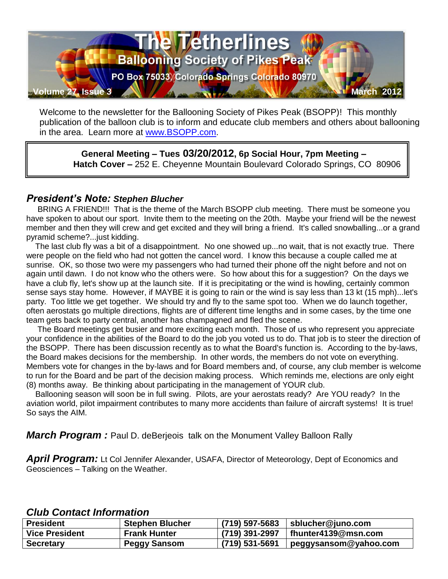

Welcome to the newsletter for the Ballooning Society of Pikes Peak (BSOPP)! This monthly publication of the balloon club is to inform and educate club members and others about ballooning in the area. Learn more at [www.BSOPP.com.](http://www.bsopp.com/)

**General Meeting – Tues 03/20/2012, 6p Social Hour, 7pm Meeting – Hatch Cover –** 252 E. Cheyenne Mountain Boulevard Colorado Springs, CO 80906

### *President's Note: Stephen Blucher*

 BRING A FRIEND!!! That is the theme of the March BSOPP club meeting. There must be someone you have spoken to about our sport. Invite them to the meeting on the 20th. Maybe your friend will be the newest member and then they will crew and get excited and they will bring a friend. It's called snowballing...or a grand pyramid scheme?...just kidding.

 The last club fly was a bit of a disappointment. No one showed up...no wait, that is not exactly true. There were people on the field who had not gotten the cancel word. I know this because a couple called me at sunrise. OK, so those two were my passengers who had turned their phone off the night before and not on again until dawn. I do not know who the others were. So how about this for a suggestion? On the days we have a club fly, let's show up at the launch site. If it is precipitating or the wind is howling, certainly common sense says stay home. However, if MAYBE it is going to rain or the wind is say less than 13 kt (15 mph)...let's party. Too little we get together. We should try and fly to the same spot too. When we do launch together, often aerostats go multiple directions, flights are of different time lengths and in some cases, by the time one team gets back to party central, another has champagned and fled the scene.

 The Board meetings get busier and more exciting each month. Those of us who represent you appreciate your confidence in the abilities of the Board to do the job you voted us to do. That job is to steer the direction of the BSOPP. There has been discussion recently as to what the Board's function is. According to the by-laws, the Board makes decisions for the membership. In other words, the members do not vote on everything. Members vote for changes in the by-laws and for Board members and, of course, any club member is welcome to run for the Board and be part of the decision making process. Which reminds me, elections are only eight (8) months away. Be thinking about participating in the management of YOUR club.

 Ballooning season will soon be in full swing. Pilots, are your aerostats ready? Are YOU ready? In the aviation world, pilot impairment contributes to many more accidents than failure of aircraft systems! It is true! So says the AIM.

*March Program :* Paul D. deBerjeois talk on the Monument Valley Balloon Rally

April Program: Lt Col Jennifer Alexander, USAFA, Director of Meteorology, Dept of Economics and Geosciences – Talking on the Weather.

### *Club Contact Information*

| <b>President</b>      | <b>Stephen Blucher</b> | $(719) 597 - 5683$ | sblucher@juno.com     |
|-----------------------|------------------------|--------------------|-----------------------|
| <b>Vice President</b> | <b>Frank Hunter</b>    | (719) 391-2997     | fhunter4139@msn.com   |
| <b>Secretary</b>      | Peggy Sansom           | (719) 531-5691     | peggysansom@yahoo.com |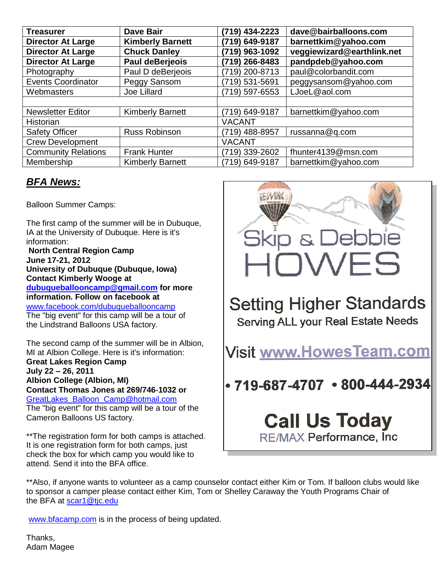| <b>Treasurer</b>           | <b>Dave Bair</b>        | (719) 434-2223 | dave@bairballoons.com      |
|----------------------------|-------------------------|----------------|----------------------------|
| <b>Director At Large</b>   | <b>Kimberly Barnett</b> | (719) 649-9187 | barnettkim@yahoo.com       |
| <b>Director At Large</b>   | <b>Chuck Danley</b>     | (719) 963-1092 | veggiewizard@earthlink.net |
| <b>Director At Large</b>   | Paul deBerjeois         | (719) 266-8483 | pandpdeb@yahoo.com         |
| Photography                | Paul D deBerjeois       | 719) 200-8713  | paul@colorbandit.com       |
| <b>Events Coordinator</b>  | Peggy Sansom            | 719) 531-5691  | peggysansom@yahoo.com      |
| Webmasters                 | Joe Lillard             | (719) 597-6553 | LJoeL@aol.com              |
|                            |                         |                |                            |
| <b>Newsletter Editor</b>   | <b>Kimberly Barnett</b> | (719) 649-9187 | barnettkim@yahoo.com       |
| Historian                  |                         | <b>VACANT</b>  |                            |
| <b>Safety Officer</b>      | <b>Russ Robinson</b>    | (719) 488-8957 | russanna@q.com             |
| <b>Crew Development</b>    |                         | <b>VACANT</b>  |                            |
| <b>Community Relations</b> | <b>Frank Hunter</b>     | 719) 339-2602  | fhunter4139@msn.com        |
| Membership                 | <b>Kimberly Barnett</b> | 719) 649-9187  | barnettkim@yahoo.com       |

# *BFA News:*

Balloon Summer Camps:

The first camp of the summer will be in Dubuque, IA at the University of Dubuque. Here is it's information:

**North Central Region Camp June 17-21, 2012 University of Dubuque (Dubuque, Iowa) Contact Kimberly Wooge at [dubuqueballooncamp@gmail.com](mailto:dubuqueballooncamp@gmail.com) for more information. Follow on facebook at** [www.facebook.com/dubuqueballooncamp](http://www.facebook.com/dubuqueballooncamp) The "big event" for this camp will be a tour of the Lindstrand Balloons USA factory.

The second camp of the summer will be in Albion, MI at Albion College. Here is it's information: **Great Lakes Region Camp July 22 – 26, 2011 Albion College (Albion, MI) Contact Thomas Jones at 269/746**‐**1032 or** [GreatLakes\\_Balloon\\_Camp@hotmail.com](mailto:GreatLakes_Balloon_Camp@hotmail.com)

The "big event" for this camp will be a tour of the Cameron Balloons US factory.

\*\*The registration form for both camps is attached. It is one registration form for both camps, just check the box for which camp you would like to attend. Send it into the BFA office.



# **Setting Higher Standards Serving ALL your Real Estate Needs**

**Visit www.HowesTeam.com** 

 $\cdot$  719-687-4707  $\cdot$  800-444-2934

# **Call Us Today** RE/MAX Performance, Inc.

\*\*Also, if anyone wants to volunteer as a camp counselor contact either Kim or Tom. If balloon clubs would like to sponsor a camper please contact either Kim, Tom or Shelley Caraway the Youth Programs Chair of the BFA at [scar1@tjc.edu](mailto:scar1@tjc.edu)

[www.bfacamp.com](http://www.bfacamp.com/) is in the process of being updated.

Thanks, Adam Magee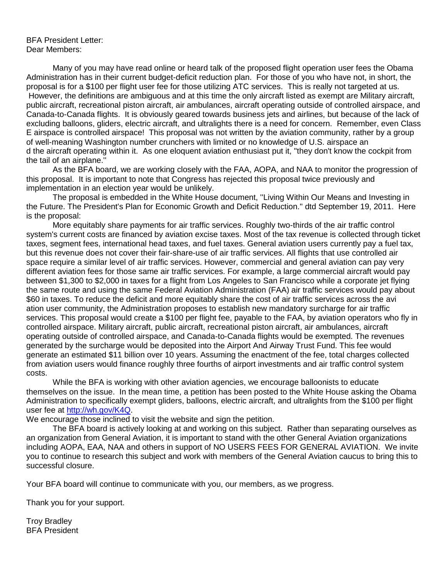#### BFA President Letter: Dear Members:

Many of you may have read online or heard talk of the proposed flight operation user fees the Obama Administration has in their current budget-deficit reduction plan. For those of you who have not, in short, the proposal is for a \$100 per flight user fee for those utilizing ATC services. This is really not targeted at us. However, the definitions are ambiguous and at this time the only aircraft listed as exempt are Military aircraft, public aircraft, recreational piston aircraft, air ambulances, aircraft operating outside of controlled airspace, and Canada-to-Canada flights. It is obviously geared towards business jets and airlines, but because of the lack of excluding balloons, gliders, electric aircraft, and ultralights there is a need for concern. Remember, even Class E airspace is controlled airspace! This proposal was not written by the aviation community, rather by a group of well-meaning Washington number crunchers with limited or no knowledge of U.S. airspace an d the aircraft operating within it. As one eloquent aviation enthusiast put it, ''they don't know the cockpit from the tail of an airplane.''

As the BFA board, we are working closely with the FAA, AOPA, and NAA to monitor the progression of this proposal. It is important to note that Congress has rejected this proposal twice previously and implementation in an election year would be unlikely.

The proposal is embedded in the White House document, ''Living Within Our Means and Investing in the Future. The President's Plan for Economic Growth and Deficit Reduction.'' dtd September 19, 2011. Here is the proposal:

More equitably share payments for air traffic services. Roughly two-thirds of the air traffic control system's current costs are financed by aviation excise taxes. Most of the tax revenue is collected through ticket taxes, segment fees, international head taxes, and fuel taxes. General aviation users currently pay a fuel tax, but this revenue does not cover their fair-share-use of air traffic services. All flights that use controlled air space require a similar level of air traffic services. However, commercial and general aviation can pay very different aviation fees for those same air traffic services. For example, a large commercial aircraft would pay between \$1,300 to \$2,000 in taxes for a flight from Los Angeles to San Francisco while a corporate jet flying the same route and using the same Federal Aviation Administration (FAA) air traffic services would pay about \$60 in taxes. To reduce the deficit and more equitably share the cost of air traffic services across the avi ation user community, the Administration proposes to establish new mandatory surcharge for air traffic services. This proposal would create a \$100 per flight fee, payable to the FAA, by aviation operators who fly in controlled airspace. Military aircraft, public aircraft, recreational piston aircraft, air ambulances, aircraft operating outside of controlled airspace, and Canada-to-Canada flights would be exempted. The revenues generated by the surcharge would be deposited into the Airport And Airway Trust Fund. This fee would generate an estimated \$11 billion over 10 years. Assuming the enactment of the fee, total charges collected from aviation users would finance roughly three fourths of airport investments and air traffic control system costs.

While the BFA is working with other aviation agencies, we encourage balloonists to educate themselves on the issue. In the mean time, a petition has been posted to the White House asking the Obama Administration to specifically exempt gliders, balloons, electric aircraft, and ultralights from the \$100 per flight user fee at [http://wh.gov/K4Q.](http://wh.gov/K4Q)

We encourage those inclined to visit the website and sign the petition.

The BFA board is actively looking at and working on this subject. Rather than separating ourselves as an organization from General Aviation, it is important to stand with the other General Aviation organizations including AOPA, EAA, NAA and others in support of NO USERS FEES FOR GENERAL AVIATION. We invite you to continue to research this subject and work with members of the General Aviation caucus to bring this to successful closure.

Your BFA board will continue to communicate with you, our members, as we progress.

Thank you for your support.

Troy Bradley BFA President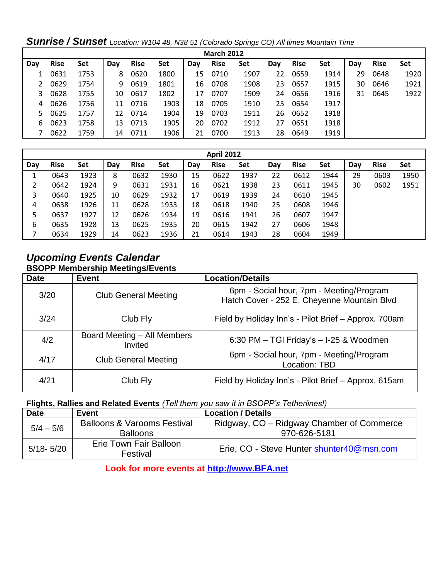| <b>March 2012</b> |             |      |     |             |      |     |             |      |     |             |      |     |             |      |
|-------------------|-------------|------|-----|-------------|------|-----|-------------|------|-----|-------------|------|-----|-------------|------|
| Day               | <b>Rise</b> | Set  | Day | <b>Rise</b> | Set  | Day | <b>Rise</b> | Set  | Day | <b>Rise</b> | Set  | Day | <b>Rise</b> | Set  |
|                   | 0631        | 1753 | 8   | 0620        | 1800 | 15  | 0710        | 1907 | 22  | 0659        | 1914 | 29  | 0648        | 1920 |
|                   | 0629        | 1754 | 9   | 0619        | 1801 | 16  | 0708        | 1908 | 23  | 0657        | 1915 | 30  | 0646        | 1921 |
| 3                 | 0628        | 1755 | 10  | 0617        | 1802 | 17  | 0707        | 1909 | 24  | 0656        | 1916 | 31  | 0645        | 1922 |
| 4                 | 0626        | 1756 | 11  | 0716        | 1903 | 18  | 0705        | 1910 | 25  | 0654        | 1917 |     |             |      |
| 5.                | 0625        | 1757 | 12  | 0714        | 1904 | 19  | 0703        | 1911 | 26  | 0652        | 1918 |     |             |      |
| 6                 | 0623        | 1758 | 13  | 0713        | 1905 | 20  | 0702        | 1912 | 27  | 0651        | 1918 |     |             |      |
|                   | 0622        | 1759 | 14  | 0711        | 1906 | 21  | 0700        | 1913 | 28  | 0649        | 1919 |     |             |      |

*Sunrise / Sunset Location: W104 48, N38 51 (Colorado Springs CO) All times Mountain Time*

| <b>April 2012</b> |             |      |     |             |      |     |             |      |     |             |      |     |             |      |
|-------------------|-------------|------|-----|-------------|------|-----|-------------|------|-----|-------------|------|-----|-------------|------|
| Day               | <b>Rise</b> | Set  | Day | <b>Rise</b> | Set  | Day | <b>Rise</b> | Set  | Day | <b>Rise</b> | Set  | Day | <b>Rise</b> | Set  |
|                   | 0643        | 1923 | 8   | 0632        | 1930 | 15  | 0622        | 1937 | 22  | 0612        | 1944 | 29  | 0603        | 1950 |
|                   | 0642        | 1924 | 9   | 0631        | 1931 | 16  | 0621        | 1938 | 23  | 0611        | 1945 | 30  | 0602        | 1951 |
| 3                 | 0640        | 1925 | 10  | 0629        | 1932 | 17  | 0619        | 1939 | 24  | 0610        | 1945 |     |             |      |
| 4                 | 0638        | 1926 | 11  | 0628        | 1933 | 18  | 0618        | 1940 | 25  | 0608        | 1946 |     |             |      |
| 5                 | 0637        | 1927 | 12  | 0626        | 1934 | 19  | 0616        | 1941 | 26  | 0607        | 1947 |     |             |      |
| 6                 | 0635        | 1928 | 13  | 0625        | 1935 | 20  | 0615        | 1942 | 27  | 0606        | 1948 |     |             |      |
|                   | 0634        | 1929 | 14  | 0623        | 1936 | 21  | 0614        | 1943 | 28  | 0604        | 1949 |     |             |      |

## *Upcoming Events Calendar*  **BSOPP Membership Meetings/Events**

| <b>Date</b> | <b>Event</b>                           | <b>Location/Details</b>                                                                 |
|-------------|----------------------------------------|-----------------------------------------------------------------------------------------|
| 3/20        | <b>Club General Meeting</b>            | 6pm - Social hour, 7pm - Meeting/Program<br>Hatch Cover - 252 E. Cheyenne Mountain Blvd |
| 3/24        | Club Fly                               | Field by Holiday Inn's - Pilot Brief - Approx. 700am                                    |
| 4/2         | Board Meeting - All Members<br>Invited | 6:30 PM - TGI Friday's - I-25 & Woodmen                                                 |
| 4/17        | <b>Club General Meeting</b>            | 6pm - Social hour, 7pm - Meeting/Program<br><b>Location: TBD</b>                        |
| 4/21        | Club Fly                               | Field by Holiday Inn's - Pilot Brief - Approx. 615am                                    |

### **Flights, Rallies and Related Events** *(Tell them you saw it in BSOPP's Tetherlines!)*

| <b>Date</b>   | Event                                                     | <b>Location / Details</b>                                 |
|---------------|-----------------------------------------------------------|-----------------------------------------------------------|
| $5/4 - 5/6$   | <b>Balloons &amp; Varooms Festival</b><br><b>Balloons</b> | Ridgway, CO – Ridgway Chamber of Commerce<br>970-626-5181 |
| $5/18 - 5/20$ | Erie Town Fair Balloon<br>Festival                        | Erie, CO - Steve Hunter shunter40@msn.com                 |

### **Look for more events at [http://www.BFA.net](http://www.bfa.net/)**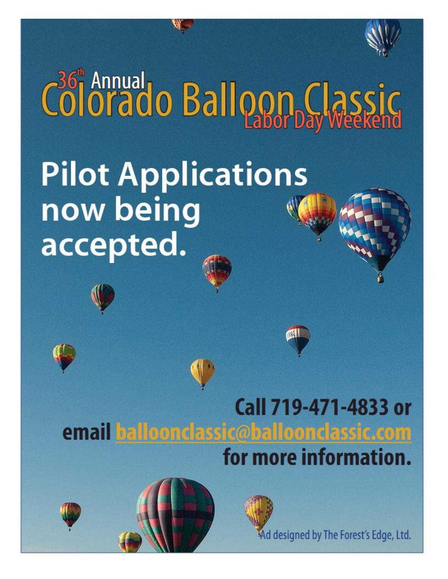

# Colorado Balloon Classic **Pilot Applications** now being accepted.







Ad designed by The Forest's Edge, Ltd.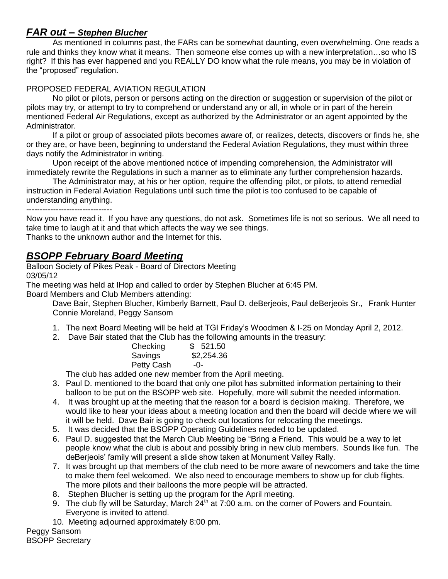## *FAR out – Stephen Blucher*

As mentioned in columns past, the FARs can be somewhat daunting, even overwhelming. One reads a rule and thinks they know what it means. Then someone else comes up with a new interpretation…so who IS right? If this has ever happened and you REALLY DO know what the rule means, you may be in violation of the "proposed" regulation.

### PROPOSED FEDERAL AVIATION REGULATION

No pilot or pilots, person or persons acting on the direction or suggestion or supervision of the pilot or pilots may try, or attempt to try to comprehend or understand any or all, in whole or in part of the herein mentioned Federal Air Regulations, except as authorized by the Administrator or an agent appointed by the Administrator.

If a pilot or group of associated pilots becomes aware of, or realizes, detects, discovers or finds he, she or they are, or have been, beginning to understand the Federal Aviation Regulations, they must within three days notify the Administrator in writing.

Upon receipt of the above mentioned notice of impending comprehension, the Administrator will immediately rewrite the Regulations in such a manner as to eliminate any further comprehension hazards.

The Administrator may, at his or her option, require the offending pilot, or pilots, to attend remedial instruction in Federal Aviation Regulations until such time the pilot is too confused to be capable of understanding anything.

--------------------------------

Now you have read it. If you have any questions, do not ask. Sometimes life is not so serious. We all need to take time to laugh at it and that which affects the way we see things. Thanks to the unknown author and the Internet for this.

## *BSOPP February Board Meeting*

Balloon Society of Pikes Peak - Board of Directors Meeting 03/05/12

The meeting was held at IHop and called to order by Stephen Blucher at 6:45 PM.

Board Members and Club Members attending:

Dave Bair, Stephen Blucher, Kimberly Barnett, Paul D. deBerjeois, Paul deBerjeois Sr., Frank Hunter Connie Moreland, Peggy Sansom

- 1. The next Board Meeting will be held at TGI Friday's Woodmen & I-25 on Monday April 2, 2012.
- 2. Dave Bair stated that the Club has the following amounts in the treasury:

| Checking          | \$521.50   |
|-------------------|------------|
| Savings           | \$2,254.36 |
| <b>Petty Cash</b> | -0-        |

The club has added one new member from the April meeting.

- 3. Paul D. mentioned to the board that only one pilot has submitted information pertaining to their balloon to be put on the BSOPP web site. Hopefully, more will submit the needed information.
- 4. It was brought up at the meeting that the reason for a board is decision making. Therefore, we would like to hear your ideas about a meeting location and then the board will decide where we will it will be held. Dave Bair is going to check out locations for relocating the meetings.
- 5. It was decided that the BSOPP Operating Guidelines needed to be updated.
- 6. Paul D. suggested that the March Club Meeting be "Bring a Friend. This would be a way to let people know what the club is about and possibly bring in new club members. Sounds like fun. The deBerjeois' family will present a slide show taken at Monument Valley Rally.
- 7. It was brought up that members of the club need to be more aware of newcomers and take the time to make them feel welcomed. We also need to encourage members to show up for club flights. The more pilots and their balloons the more people will be attracted.
- 8. Stephen Blucher is setting up the program for the April meeting.
- 9. The club fly will be Saturday, March  $24<sup>th</sup>$  at 7:00 a.m. on the corner of Powers and Fountain. Everyone is invited to attend.
- 10. Meeting adjourned approximately 8:00 pm.

Peggy Sansom BSOPP Secretary